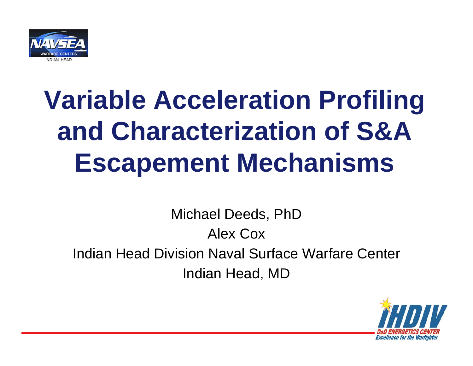

# **Variable Acceleration Profiling and Characterization of S&A Escapement Mechanisms**

Michael Deeds, PhD Alex CoxIndian Head Division Naval Surface Warfare Center Indian Head, MD

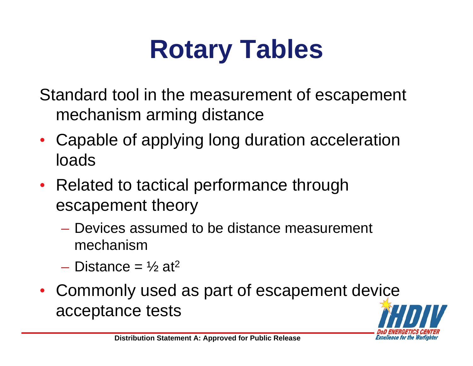# **Rotary Tables**

Standard tool in the measurement of escapement mechanism arming distance

- Capable of applying long duration acceleration loads
- Related to tactical performance through escapement theory
	- Devices assumed to be distance measurement mechanism
	- Distance =  $\frac{1}{2}$  at<sup>2</sup>
- Commonly used as part of escapement device acceptance tests

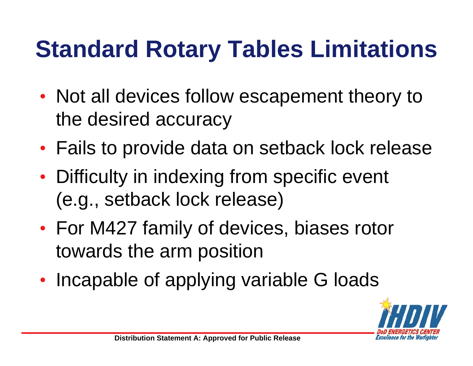## **Standard Rotary Tables Limitations**

- Not all devices follow escapement theory to the desired accuracy
- Fails to provide data on setback lock release
- Difficulty in indexing from specific event (e.g., setback lock release)
- For M427 family of devices, biases rotor towards the arm position
- Incapable of applying variable G loads

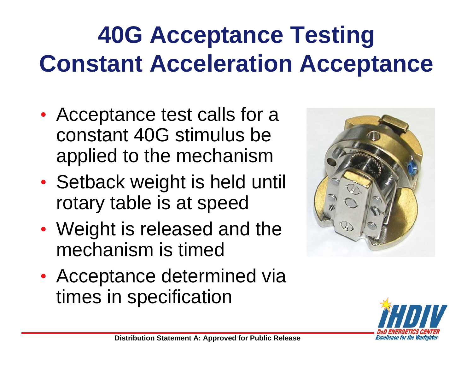## **40G Acceptance Testing Constant Acceleration Acceptance**

- Acceptance test calls for a constant 40G stimulus be applied to the mechanism
- Setback weight is held until rotary table is at speed
- Weight is released and the mechanism is timed
- Acceptance determined via times in specification



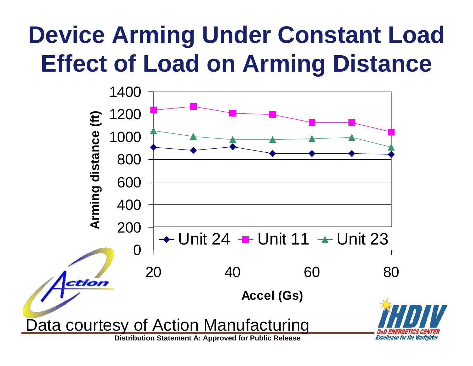## **Device Arming Under Constant Load Effect of Load on Arming Distance**

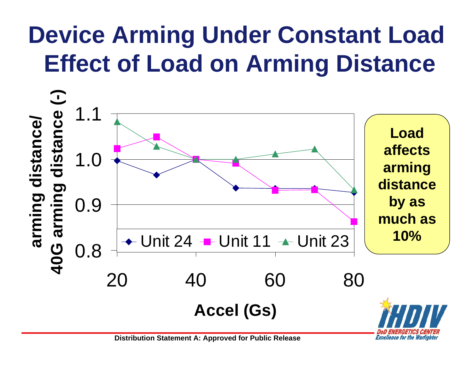## **Device Arming Under Constant Load Effect of Load on Arming Distance**



**Excellence for the Warfighter**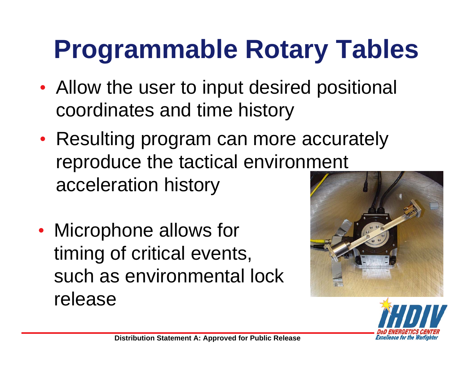# **Programmable Rotary Tables**

- Allow the user to input desired positional coordinates and time history
- Resulting program can more accurately reproduce the tactical environment acceleration history
- Microphone allows for timing of critical events, such as environmental lock release



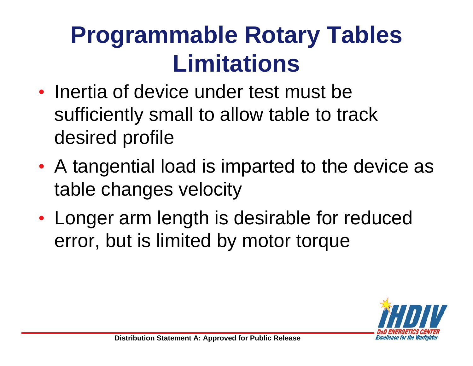## **Programmable Rotary Tables Limitations**

- Inertia of device under test must be sufficiently small to allow table to track desired profile
- A tangential load is imparted to the device as table changes velocity
- Longer arm length is desirable for reduced error, but is limited by motor torque

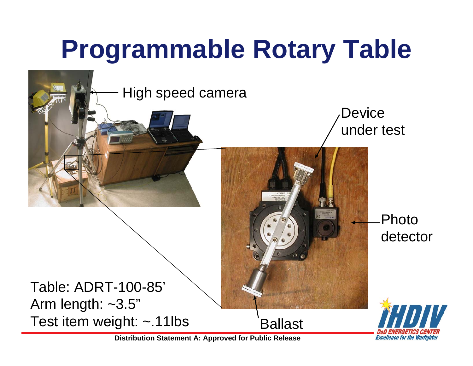# **Programmable Rotary Table**



**Distribution Statement A: Approved for Public Release**

**Excellence for the Warfighter**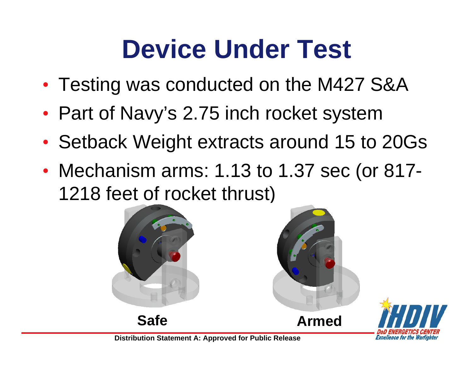## **Device Under Test**

- Testing was conducted on the M427 S&A
- Part of Navy's 2.75 inch rocket system
- Setback Weight extracts around 15 to 20Gs
- Mechanism arms: 1.13 to 1.37 sec (or 817- 1218 feet of rocket thrust)



**Armed**

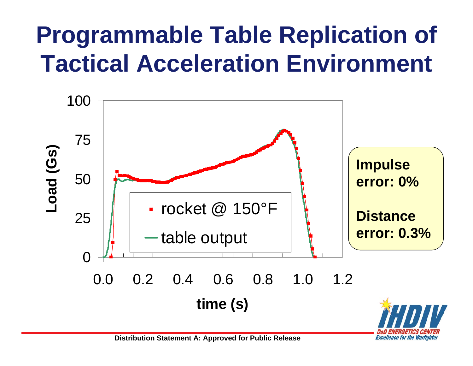## **Programmable Table Replication of Tactical Acceleration Environment**



**Excellence for the Warfighter**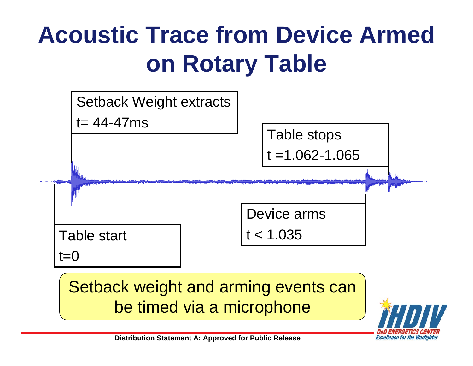## **Acoustic Trace from Device Armed on Rotary Table**



Setback weight and arming events can be timed via a microphone

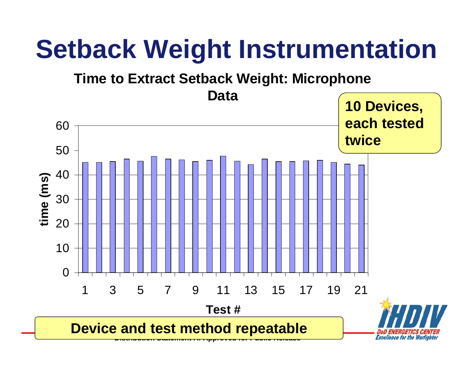## **Setback Weight Instrumentation**

#### **Time to Extract Setback Weight: Microphone**

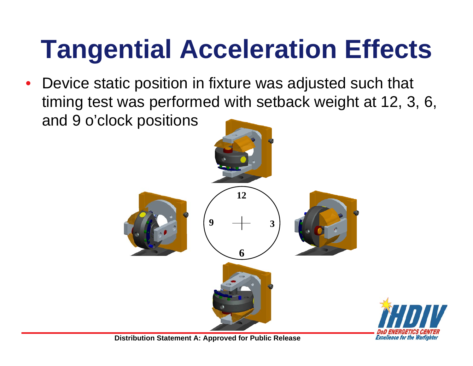# **Tangential Acceleration Effects**

• Device static position in fixture was adjusted such that timing test was performed with setback weight at 12, 3, 6, and 9 o'clock positions

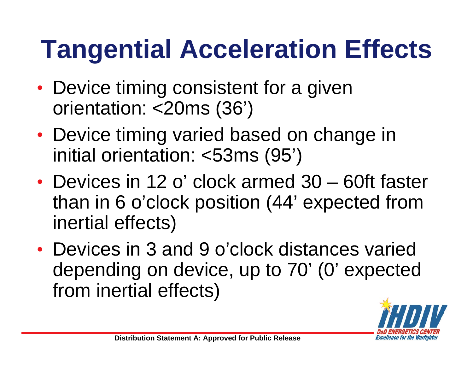# **Tangential Acceleration Effects**

- Device timing consistent for a given orientation: <20ms (36')
- Device timing varied based on change in initial orientation: <53ms (95')
- Devices in 12 o' clock armed 30 60ft faster than in 6 o'clock position (44' expected from inertial effects)
- Devices in 3 and 9 o'clock distances varied depending on device, up to 70' (0' expected from inertial effects)

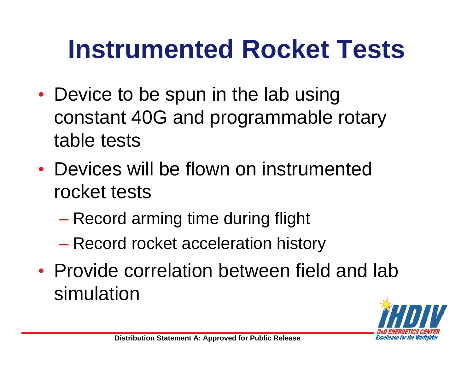## **Instrumented Rocket Tests**

- Device to be spun in the lab using constant 40G and programmable rotary table tests
- Devices will be flown on instrumented rocket tests
	- Record arming time during flight
	- Record rocket acceleration history
- Provide correlation between field and lab simulation